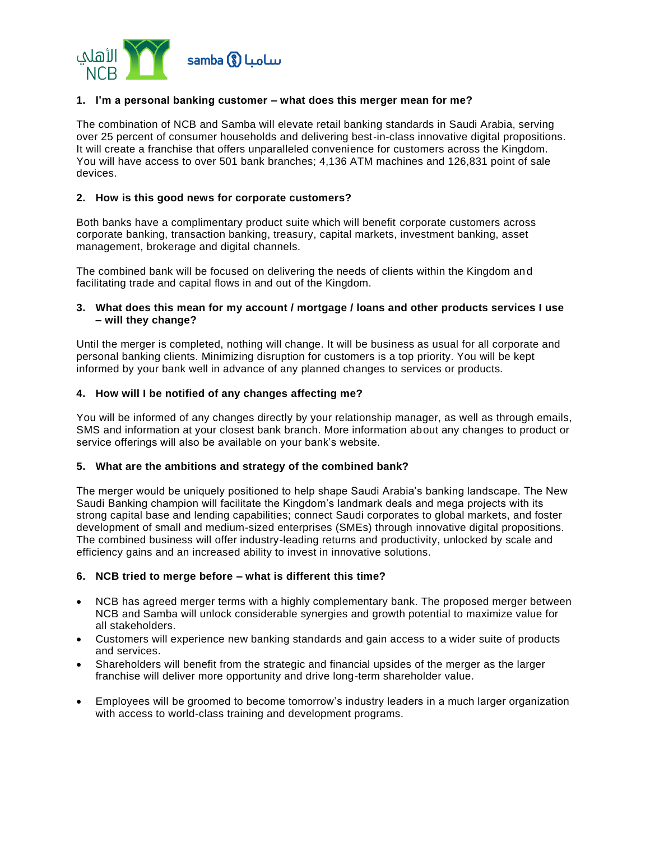

# **1. I'm a personal banking customer – what does this merger mean for me?**

The combination of NCB and Samba will elevate retail banking standards in Saudi Arabia, serving over 25 percent of consumer households and delivering best-in-class innovative digital propositions. It will create a franchise that offers unparalleled convenience for customers across the Kingdom. You will have access to over 501 bank branches; 4,136 ATM machines and 126,831 point of sale devices.

## **2. How is this good news for corporate customers?**

Both banks have a complimentary product suite which will benefit corporate customers across corporate banking, transaction banking, treasury, capital markets, investment banking, asset management, brokerage and digital channels.

The combined bank will be focused on delivering the needs of clients within the Kingdom and facilitating trade and capital flows in and out of the Kingdom.

### **3. What does this mean for my account / mortgage / loans and other products services I use – will they change?**

Until the merger is completed, nothing will change. It will be business as usual for all corporate and personal banking clients. Minimizing disruption for customers is a top priority. You will be kept informed by your bank well in advance of any planned changes to services or products.

### **4. How will I be notified of any changes affecting me?**

You will be informed of any changes directly by your relationship manager, as well as through emails, SMS and information at your closest bank branch. More information about any changes to product or service offerings will also be available on your bank's website.

## **5. What are the ambitions and strategy of the combined bank?**

The merger would be uniquely positioned to help shape Saudi Arabia's banking landscape. The New Saudi Banking champion will facilitate the Kingdom's landmark deals and mega projects with its strong capital base and lending capabilities; connect Saudi corporates to global markets, and foster development of small and medium-sized enterprises (SMEs) through innovative digital propositions. The combined business will offer industry-leading returns and productivity, unlocked by scale and efficiency gains and an increased ability to invest in innovative solutions.

#### **6. NCB tried to merge before – what is different this time?**

- NCB has agreed merger terms with a highly complementary bank. The proposed merger between NCB and Samba will unlock considerable synergies and growth potential to maximize value for all stakeholders.
- Customers will experience new banking standards and gain access to a wider suite of products and services.
- Shareholders will benefit from the strategic and financial upsides of the merger as the larger franchise will deliver more opportunity and drive long-term shareholder value.
- Employees will be groomed to become tomorrow's industry leaders in a much larger organization with access to world-class training and development programs.